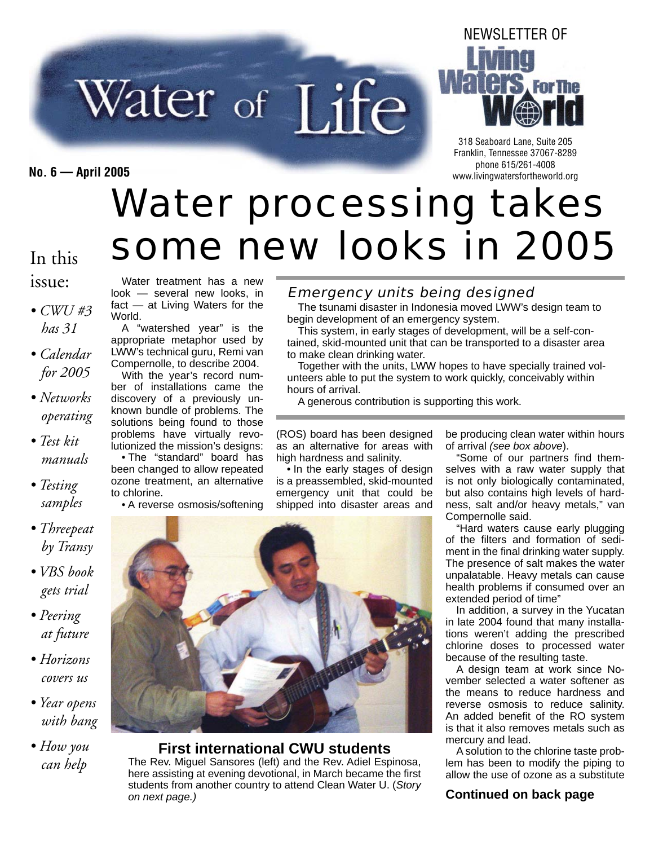# Water of Life



318 Seaboard Lane, Suite 205 Franklin, Tennessee 37067-8289 phone 615/261-4008 **No. 6 — April 2005** www.livingwatersfortheworld.org

# Water processing takes some new looks in 2005

#### In this issue:

- *CWU #3 has 31*
- *Calendar for 2005*
- *Networks operating*
- *Test kit manuals*
- *Testing samples*
- *Threepeat by Transy*
- *VBS book gets trial*
- *Peering at future*
- *Horizons covers us*
- *Year opens with bang*
- *How you can help*

Water treatment has a new look — several new looks, in fact — at Living Waters for the World.

A "watershed year" is the appropriate metaphor used by LWW's technical guru, Remi van Compernolle, to describe 2004.

With the year's record number of installations came the discovery of a previously unknown bundle of problems. The solutions being found to those problems have virtually revolutionized the mission's designs: • The "standard" board has been changed to allow repeated ozone treatment, an alternative to chlorine.

• A reverse osmosis/softening

Emergency units being designed

The tsunami disaster in Indonesia moved LWW's design team to begin development of an emergency system.

This system, in early stages of development, will be a self-contained, skid-mounted unit that can be transported to a disaster area to make clean drinking water.

Together with the units, LWW hopes to have specially trained volunteers able to put the system to work quickly, conceivably within hours of arrival.

A generous contribution is supporting this work.

(ROS) board has been designed as an alternative for areas with high hardness and salinity.

• In the early stages of design is a preassembled, skid-mounted emergency unit that could be shipped into disaster areas and

be producing clean water within hours of arrival *(see box above*).

'Some of our partners find themselves with a raw water supply that is not only biologically contaminated, but also contains high levels of hardness, salt and/or heavy metals," van Compernolle said.

"Hard waters cause early plugging of the filters and formation of sediment in the final drinking water supply. The presence of salt makes the water unpalatable. Heavy metals can cause health problems if consumed over an extended period of time"

In addition, a survey in the Yucatan in late 2004 found that many installations weren't adding the prescribed chlorine doses to processed water because of the resulting taste.

A design team at work since November selected a water softener as the means to reduce hardness and reverse osmosis to reduce salinity. An added benefit of the RO system is that it also removes metals such as mercury and lead.

A solution to the chlorine taste problem has been to modify the piping to allow the use of ozone as a substitute

#### *on next page.)* **Continued on back page**



**First international CWU students** The Rev. Miguel Sansores (left) and the Rev. Adiel Espinosa, here assisting at evening devotional, in March became the first students from another country to attend Clean Water U. (*Story*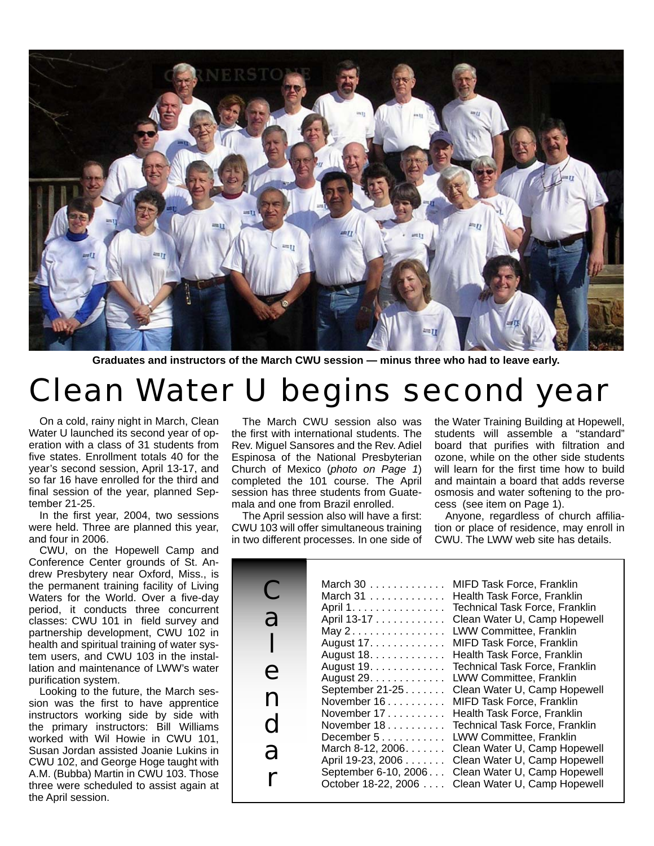

**Graduates and instructors of the March CWU session — minus three who had to leave early.**

## Clean Water U begins second year

On a cold, rainy night in March, Clean Water U launched its second year of operation with a class of 31 students from five states. Enrollment totals 40 for the year's second session, April 13-17, and so far 16 have enrolled for the third and final session of the year, planned September 21-25.

In the first year, 2004, two sessions were held. Three are planned this year, and four in 2006.

CWU, on the Hopewell Camp and Conference Center grounds of St. Andrew Presbytery near Oxford, Miss., is the permanent training facility of Living Waters for the World. Over a five-day period, it conducts three concurrent classes: CWU 101 in field survey and partnership development, CWU 102 in health and spiritual training of water system users, and CWU 103 in the installation and maintenance of LWW's water purification system.

Looking to the future, the March session was the first to have apprentice instructors working side by side with the primary instructors: Bill Williams worked with Wil Howie in CWU 101, Susan Jordan assisted Joanie Lukins in CWU 102, and George Hoge taught with A.M. (Bubba) Martin in CWU 103. Those three were scheduled to assist again at the April session.

The March CWU session also was the first with international students. The Rev. Miguel Sansores and the Rev. Adiel Espinosa of the National Presbyterian Church of Mexico (*photo on Page 1*) completed the 101 course. The April session has three students from Guatemala and one from Brazil enrolled.

The April session also will have a first: CWU 103 will offer simultaneous training in two different processes. In one side of the Water Training Building at Hopewell, students will assemble a "standard" board that purifies with filtration and ozone, while on the other side students will learn for the first time how to build and maintain a board that adds reverse osmosis and water softening to the process (see item on Page 1).

Anyone, regardless of church affiliation or place of residence, may enroll in CWU. The LWW web site has details.

| March $30$<br>MIFD Task Force, Franklin<br>Health Task Force, Franklin<br>March $31$<br><b>Technical Task Force, Franklin</b><br>April 1.<br>a<br>Clean Water U, Camp Hopewell<br>April 13-17<br>LWW Committee, Franklin<br>May $2 \ldots \ldots \ldots \ldots$<br>August 17.<br>MIFD Task Force, Franklin<br>Health Task Force, Franklin<br>August 18.<br>August 19.<br><b>Technical Task Force, Franklin</b><br>e<br>LWW Committee, Franklin<br>August 29.<br>September 21-25<br>Clean Water U, Camp Hopewell<br>n<br>November 16.<br>MIFD Task Force, Franklin<br>November 17<br>Health Task Force, Franklin<br>$\mathbf C$<br>November $18$<br><b>Technical Task Force, Franklin</b><br><b>LWW Committee, Franklin</b><br>December $5$<br>Clean Water U, Camp Hopewell<br>March 8-12, $2006$<br>a<br>Clean Water U, Camp Hopewell<br>April 19-23, 2006<br>September 6-10, 2006<br>Clean Water U, Camp Hopewell<br>Clean Water U, Camp Hopewell<br>October 18-22, 2006 |
|---------------------------------------------------------------------------------------------------------------------------------------------------------------------------------------------------------------------------------------------------------------------------------------------------------------------------------------------------------------------------------------------------------------------------------------------------------------------------------------------------------------------------------------------------------------------------------------------------------------------------------------------------------------------------------------------------------------------------------------------------------------------------------------------------------------------------------------------------------------------------------------------------------------------------------------------------------------------------|
|---------------------------------------------------------------------------------------------------------------------------------------------------------------------------------------------------------------------------------------------------------------------------------------------------------------------------------------------------------------------------------------------------------------------------------------------------------------------------------------------------------------------------------------------------------------------------------------------------------------------------------------------------------------------------------------------------------------------------------------------------------------------------------------------------------------------------------------------------------------------------------------------------------------------------------------------------------------------------|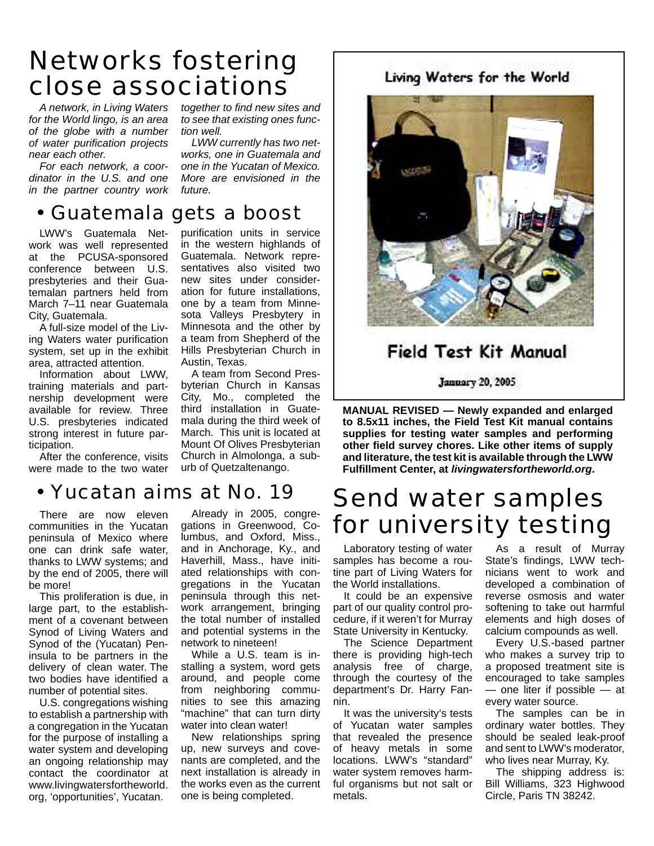## Networks fostering close associations

*A network, in Living Waters for the World lingo, is an area of the globe with a number of water purifi cation projects near each other.* 

*For each network, a coordinator in the U.S. and one in the partner country work*  *together to find new sites and to see that existing ones function well.*

*LWW currently has two networks, one in Guatemala and one in the Yucatan of Mexico. More are envisioned in the future.*

purification units in service in the western highlands of Guatemala. Network representatives also visited two new sites under consideration for future installations, one by a team from Minnesota Valleys Presbytery in Minnesota and the other by a team from Shepherd of the Hills Presbyterian Church in

A team from Second Presbyterian Church in Kansas City, Mo., completed the third installation in Guatemala during the third week of March. This unit is located at Mount Of Olives Presbyterian Church in Almolonga, a suburb of Quetzaltenango.

Austin, Texas.

### • Guatemala gets a boost

LWW's Guatemala Network was well represented at the PCUSA-sponsored conference between U.S. presbyteries and their Guatemalan partners held from March 7–11 near Guatemala City, Guatemala.

A full-size model of the Living Waters water purification system, set up in the exhibit area, attracted attention.

Information about LWW, training materials and partnership development were available for review. Three U.S. presbyteries indicated strong interest in future participation.

After the conference, visits were made to the two water

• Yucatan aims at No. 19

There are now eleven communities in the Yucatan peninsula of Mexico where one can drink safe water, thanks to LWW systems; and by the end of 2005, there will be more!

This proliferation is due, in large part, to the establishment of a covenant between Synod of Living Waters and Synod of the (Yucatan) Peninsula to be partners in the delivery of clean water. The two bodies have identified a number of potential sites.

U.S. congregations wishing to establish a partnership with a congregation in the Yucatan for the purpose of installing a water system and developing an ongoing relationship may contact the coordinator at www.livingwatersfortheworld. org, 'opportunities', Yucatan.

Already in 2005, congregations in Greenwood, Columbus, and Oxford, Miss., and in Anchorage, Ky., and Haverhill, Mass., have initiated relationships with congregations in the Yucatan peninsula through this network arrangement, bringing the total number of installed and potential systems in the network to nineteen!

While a U.S. team is installing a system, word gets around, and people come from neighboring communities to see this amazing "machine" that can turn dirty water into clean water!

New relationships spring up, new surveys and covenants are completed, and the next installation is already in the works even as the current one is being completed.

#### Living Waters for the World



#### **Field Test Kit Manual**

**January 20, 2005** 

**MANUAL REVISED — Newly expanded and enlarged to 8.5x11 inches, the Field Test Kit manual contains supplies for testing water samples and performing other fi eld survey chores. Like other items of supply and literature, the test kit is available through the LWW Fulfi llment Center, at** *livingwatersfortheworld.org***.**

## Send water samples for university testing

Laboratory testing of water samples has become a routine part of Living Waters for the World installations.

It could be an expensive part of our quality control procedure, if it weren't for Murray State University in Kentucky.

The Science Department there is providing high-tech analysis free of charge, through the courtesy of the department's Dr. Harry Fannin.

It was the university's tests of Yucatan water samples that revealed the presence of heavy metals in some locations. LWW's "standard" water system removes harmful organisms but not salt or metals.

As a result of Murray State's findings, LWW technicians went to work and developed a combination of reverse osmosis and water softening to take out harmful elements and high doses of calcium compounds as well.

Every U.S.-based partner who makes a survey trip to a proposed treatment site is encouraged to take samples — one liter if possible — at every water source.

The samples can be in ordinary water bottles. They should be sealed leak-proof and sent to LWW's moderator, who lives near Murray, Ky.

The shipping address is: Bill Williams, 323 Highwood Circle, Paris TN 38242.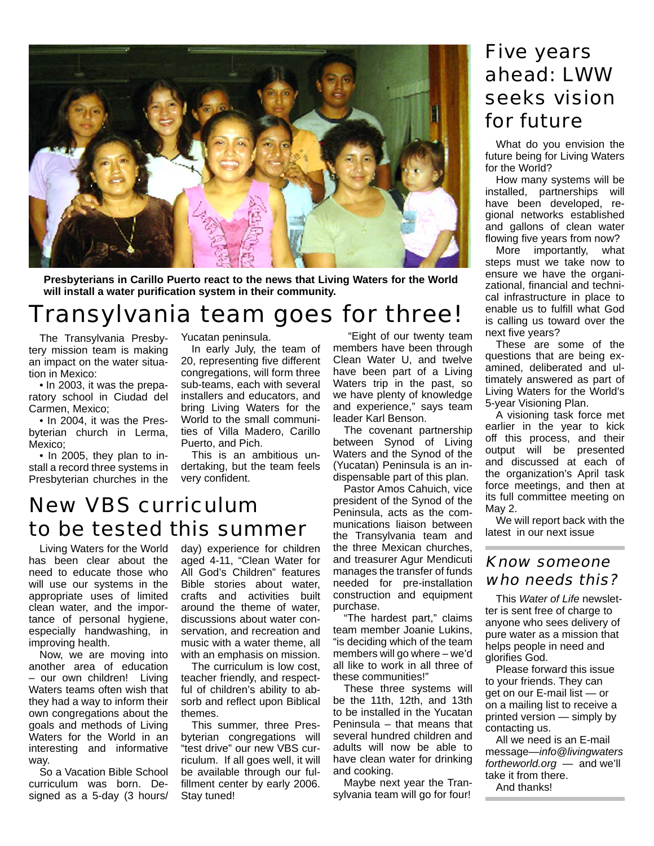

**Presbyterians in Carillo Puerto react to the news that Living Waters for the World**  will install a water purification system in their community.

## Transylvania team goes for three!

The Transylvania Presbytery mission team is making an impact on the water situation in Mexico:

• In 2003, it was the preparatory school in Ciudad del Carmen, Mexico;

• In 2004, it was the Presbyterian church in Lerma, Mexico;

• In 2005, they plan to install a record three systems in Presbyterian churches in the Yucatan peninsula.

In early July, the team of 20, representing five different congregations, will form three sub-teams, each with several installers and educators, and bring Living Waters for the World to the small communities of Villa Madero, Carillo Puerto, and Pich.

This is an ambitious undertaking, but the team feels very confident.

## New VBS curriculum to be tested this summer

Living Waters for the World has been clear about the need to educate those who will use our systems in the appropriate uses of limited clean water, and the importance of personal hygiene, especially handwashing, in improving health.

Now, we are moving into another area of education – our own children! Living Waters teams often wish that they had a way to inform their own congregations about the goals and methods of Living Waters for the World in an interesting and informative way.

So a Vacation Bible School curriculum was born. Designed as a 5-day (3 hours/ day) experience for children aged 4-11, "Clean Water for All God's Children" features Bible stories about water, crafts and activities built around the theme of water, discussions about water conservation, and recreation and music with a water theme, all with an emphasis on mission.

The curriculum is low cost, teacher friendly, and respectful of children's ability to absorb and reflect upon Biblical themes.

This summer, three Presbyterian congregations will "test drive" our new VBS curriculum. If all goes well, it will be available through our fulfillment center by early 2006. Stay tuned!

 "Eight of our twenty team members have been through Clean Water U, and twelve have been part of a Living Waters trip in the past, so we have plenty of knowledge and experience," says team leader Karl Benson.

The covenant partnership between Synod of Living Waters and the Synod of the (Yucatan) Peninsula is an indispensable part of this plan.

Pastor Amos Cahuich, vice president of the Synod of the Peninsula, acts as the communications liaison between the Transylvania team and the three Mexican churches, and treasurer Agur Mendicuti manages the transfer of funds needed for pre-installation construction and equipment purchase.

"The hardest part," claims team member Joanie Lukins, "is deciding which of the team members will go where – we'd all like to work in all three of these communities!"

These three systems will be the 11th, 12th, and 13th to be installed in the Yucatan Peninsula – that means that several hundred children and adults will now be able to have clean water for drinking and cooking.

Maybe next year the Transylvania team will go for four!

## Five years ahead: LWW seeks vision for future

What do you envision the future being for Living Waters for the World?

How many systems will be installed, partnerships will have been developed, regional networks established and gallons of clean water flowing five years from now?

More importantly, what steps must we take now to ensure we have the organizational, financial and technical infrastructure in place to enable us to fulfill what God is calling us toward over the next five vears?

These are some of the questions that are being examined, deliberated and ultimately answered as part of Living Waters for the World's 5-year Visioning Plan.

A visioning task force met earlier in the year to kick off this process, and their output will be presented and discussed at each of the organization's April task force meetings, and then at its full committee meeting on May 2.

We will report back with the latest in our next issue

#### Know someone who needs this?

This *Water of Life* newsletter is sent free of charge to anyone who sees delivery of pure water as a mission that helps people in need and glorifies God.

Please forward this issue to your friends. They can get on our E-mail list — or on a mailing list to receive a printed version — simply by contacting us.

All we need is an E-mail message—*info@livingwaters fortheworld.org —* and we'll take it from there. And thanks!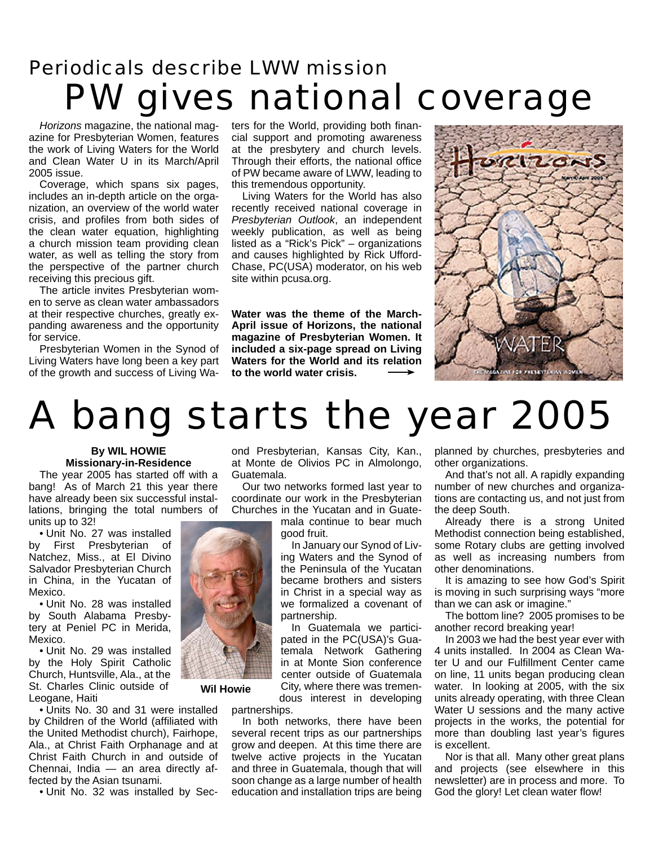## Periodicals describe LWW mission PW gives national coverage

*Horizons* magazine, the national magazine for Presbyterian Women, features the work of Living Waters for the World and Clean Water U in its March/April 2005 issue.

Coverage, which spans six pages, includes an in-depth article on the organization, an overview of the world water crisis, and profiles from both sides of the clean water equation, highlighting a church mission team providing clean water, as well as telling the story from the perspective of the partner church receiving this precious gift.

The article invites Presbyterian women to serve as clean water ambassadors at their respective churches, greatly expanding awareness and the opportunity for service.

Presbyterian Women in the Synod of Living Waters have long been a key part of the growth and success of Living Waters for the World, providing both financial support and promoting awareness at the presbytery and church levels. Through their efforts, the national office of PW became aware of LWW, leading to this tremendous opportunity.

Living Waters for the World has also recently received national coverage in *Presbyterian Outlook*, an independent weekly publication, as well as being listed as a "Rick's Pick" – organizations and causes highlighted by Rick Ufford-Chase, PC(USA) moderator, on his web site within pcusa.org.

**Water was the theme of the March-April issue of Horizons, the national magazine of Presbyterian Women. It included a six-page spread on Living Waters for the World and its relation to the world water crisis.**



# A bang starts the year 2005

#### **By WIL HOWIE Missionary-in-Residence**

The year 2005 has started off with a bang! As of March 21 this year there have already been six successful installations, bringing the total numbers of units up to 32!

• Unit No. 27 was installed by First Presbyterian of Natchez, Miss., at El Divino Salvador Presbyterian Church in China, in the Yucatan of Mexico.

• Unit No. 28 was installed by South Alabama Presbytery at Peniel PC in Merida, Mexico.

• Unit No. 29 was installed by the Holy Spirit Catholic Church, Huntsville, Ala., at the St. Charles Clinic outside of Leogane, Haiti

• Units No. 30 and 31 were installed by Children of the World (affiliated with the United Methodist church), Fairhope, Ala., at Christ Faith Orphanage and at Christ Faith Church in and outside of Chennai, India — an area directly affected by the Asian tsunami.

• Unit No. 32 was installed by Sec-

ond Presbyterian, Kansas City, Kan., at Monte de Olivios PC in Almolongo, Guatemala.

Our two networks formed last year to coordinate our work in the Presbyterian Churches in the Yucatan and in Guate-

mala continue to bear much good fruit.

In January our Synod of Living Waters and the Synod of the Peninsula of the Yucatan became brothers and sisters in Christ in a special way as we formalized a covenant of partnership.

In Guatemala we participated in the PC(USA)'s Guatemala Network Gathering in at Monte Sion conference center outside of Guatemala City, where there was tremendous interest in developing

partnerships.

In both networks, there have been several recent trips as our partnerships grow and deepen. At this time there are twelve active projects in the Yucatan and three in Guatemala, though that will soon change as a large number of health education and installation trips are being

planned by churches, presbyteries and other organizations.

And that's not all. A rapidly expanding number of new churches and organizations are contacting us, and not just from the deep South.

Already there is a strong United Methodist connection being established, some Rotary clubs are getting involved as well as increasing numbers from other denominations.

It is amazing to see how God's Spirit is moving in such surprising ways "more than we can ask or imagine."

The bottom line? 2005 promises to be another record breaking year!

In 2003 we had the best year ever with 4 units installed. In 2004 as Clean Water U and our Fulfillment Center came on line, 11 units began producing clean water. In looking at 2005, with the six units already operating, with three Clean Water U sessions and the many active projects in the works, the potential for more than doubling last year's figures is excellent.

Nor is that all. Many other great plans and projects (see elsewhere in this newsletter) are in process and more. To God the glory! Let clean water flow!